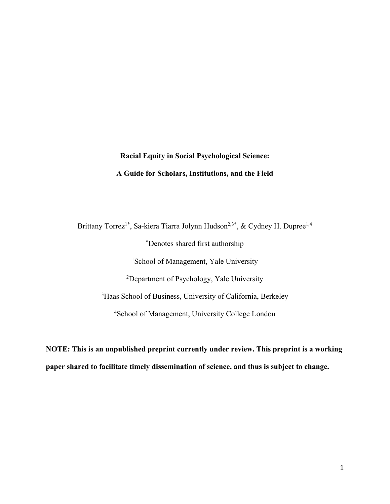# **Racial Equity in Social Psychological Science: A Guide for Scholars, Institutions, and the Field**

Brittany Torrez<sup>1\*</sup>, Sa-kiera Tiarra Jolynn Hudson<sup>2,3\*</sup>, & Cydney H. Dupree<sup>1,4</sup> \* Denotes shared first authorship <sup>1</sup>School of Management, Yale University <sup>2</sup>Department of Psychology, Yale University <sup>3</sup>Haas School of Business, University of California, Berkeley 4 School of Management, University College London

**NOTE: This is an unpublished preprint currently under review. This preprint is a working paper shared to facilitate timely dissemination of science, and thus is subject to change.**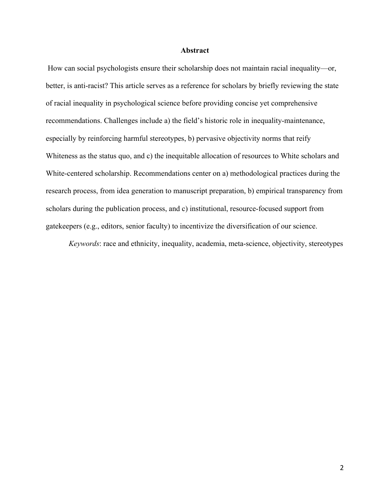#### **Abstract**

How can social psychologists ensure their scholarship does not maintain racial inequality—or, better, is anti-racist? This article serves as a reference for scholars by briefly reviewing the state of racial inequality in psychological science before providing concise yet comprehensive recommendations. Challenges include a) the field's historic role in inequality-maintenance, especially by reinforcing harmful stereotypes, b) pervasive objectivity norms that reify Whiteness as the status quo, and c) the inequitable allocation of resources to White scholars and White-centered scholarship. Recommendations center on a) methodological practices during the research process, from idea generation to manuscript preparation, b) empirical transparency from scholars during the publication process, and c) institutional, resource-focused support from gatekeepers (e.g., editors, senior faculty) to incentivize the diversification of our science.

*Keywords*: race and ethnicity, inequality, academia, meta-science, objectivity, stereotypes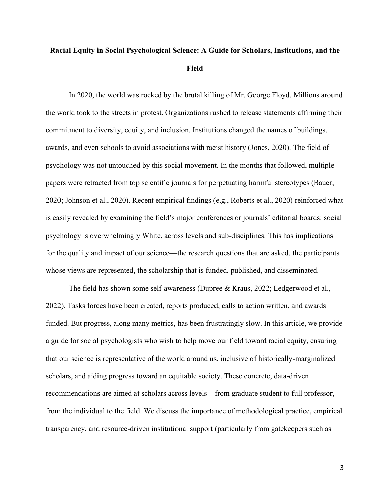# **Racial Equity in Social Psychological Science: A Guide for Scholars, Institutions, and the Field**

In 2020, the world was rocked by the brutal killing of Mr. George Floyd. Millions around the world took to the streets in protest. Organizations rushed to release statements affirming their commitment to diversity, equity, and inclusion. Institutions changed the names of buildings, awards, and even schools to avoid associations with racist history (Jones, 2020). The field of psychology was not untouched by this social movement. In the months that followed, multiple papers were retracted from top scientific journals for perpetuating harmful stereotypes (Bauer, 2020; Johnson et al., 2020). Recent empirical findings (e.g., Roberts et al., 2020) reinforced what is easily revealed by examining the field's major conferences or journals' editorial boards: social psychology is overwhelmingly White, across levels and sub-disciplines. This has implications for the quality and impact of our science—the research questions that are asked, the participants whose views are represented, the scholarship that is funded, published, and disseminated.

The field has shown some self-awareness (Dupree & Kraus, 2022; Ledgerwood et al., 2022). Tasks forces have been created, reports produced, calls to action written, and awards funded. But progress, along many metrics, has been frustratingly slow. In this article, we provide a guide for social psychologists who wish to help move our field toward racial equity, ensuring that our science is representative of the world around us, inclusive of historically-marginalized scholars, and aiding progress toward an equitable society. These concrete, data-driven recommendations are aimed at scholars across levels—from graduate student to full professor, from the individual to the field. We discuss the importance of methodological practice, empirical transparency, and resource-driven institutional support (particularly from gatekeepers such as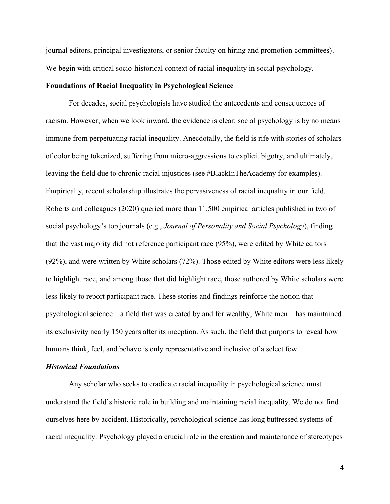journal editors, principal investigators, or senior faculty on hiring and promotion committees). We begin with critical socio-historical context of racial inequality in social psychology.

#### **Foundations of Racial Inequality in Psychological Science**

For decades, social psychologists have studied the antecedents and consequences of racism. However, when we look inward, the evidence is clear: social psychology is by no means immune from perpetuating racial inequality. Anecdotally, the field is rife with stories of scholars of color being tokenized, suffering from micro-aggressions to explicit bigotry, and ultimately, leaving the field due to chronic racial injustices (see #BlackInTheAcademy for examples). Empirically, recent scholarship illustrates the pervasiveness of racial inequality in our field. Roberts and colleagues (2020) queried more than 11,500 empirical articles published in two of social psychology's top journals (e.g., *Journal of Personality and Social Psychology*), finding that the vast majority did not reference participant race (95%), were edited by White editors (92%), and were written by White scholars (72%). Those edited by White editors were less likely to highlight race, and among those that did highlight race, those authored by White scholars were less likely to report participant race. These stories and findings reinforce the notion that psychological science—a field that was created by and for wealthy, White men—has maintained its exclusivity nearly 150 years after its inception. As such, the field that purports to reveal how humans think, feel, and behave is only representative and inclusive of a select few.

# *Historical Foundations*

Any scholar who seeks to eradicate racial inequality in psychological science must understand the field's historic role in building and maintaining racial inequality. We do not find ourselves here by accident. Historically, psychological science has long buttressed systems of racial inequality. Psychology played a crucial role in the creation and maintenance of stereotypes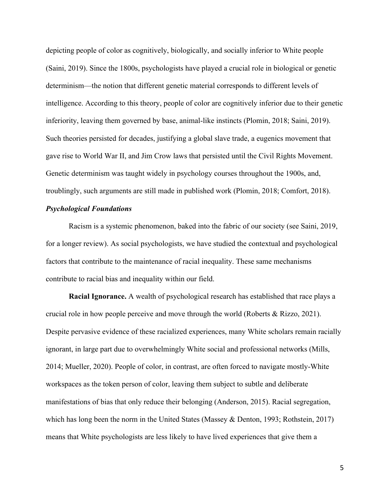depicting people of color as cognitively, biologically, and socially inferior to White people (Saini, 2019). Since the 1800s, psychologists have played a crucial role in biological or genetic determinism—the notion that different genetic material corresponds to different levels of intelligence. According to this theory, people of color are cognitively inferior due to their genetic inferiority, leaving them governed by base, animal-like instincts (Plomin, 2018; Saini, 2019). Such theories persisted for decades, justifying a global slave trade, a eugenics movement that gave rise to World War II, and Jim Crow laws that persisted until the Civil Rights Movement. Genetic determinism was taught widely in psychology courses throughout the 1900s, and, troublingly, such arguments are still made in published work (Plomin, 2018; Comfort, 2018).

### *Psychological Foundations*

Racism is a systemic phenomenon, baked into the fabric of our society (see Saini, 2019, for a longer review). As social psychologists, we have studied the contextual and psychological factors that contribute to the maintenance of racial inequality. These same mechanisms contribute to racial bias and inequality within our field.

**Racial Ignorance.** A wealth of psychological research has established that race plays a crucial role in how people perceive and move through the world (Roberts & Rizzo, 2021). Despite pervasive evidence of these racialized experiences, many White scholars remain racially ignorant, in large part due to overwhelmingly White social and professional networks (Mills, 2014; Mueller, 2020). People of color, in contrast, are often forced to navigate mostly-White workspaces as the token person of color, leaving them subject to subtle and deliberate manifestations of bias that only reduce their belonging (Anderson, 2015). Racial segregation, which has long been the norm in the United States (Massey & Denton, 1993; Rothstein, 2017) means that White psychologists are less likely to have lived experiences that give them a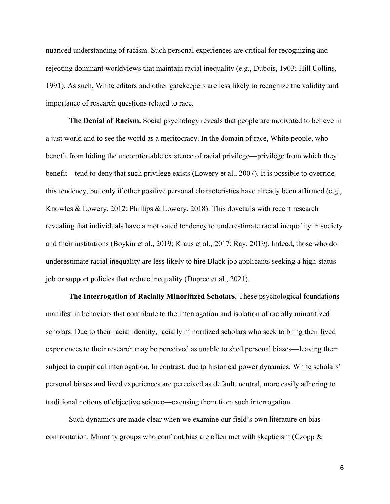nuanced understanding of racism. Such personal experiences are critical for recognizing and rejecting dominant worldviews that maintain racial inequality (e.g., Dubois, 1903; Hill Collins, 1991). As such, White editors and other gatekeepers are less likely to recognize the validity and importance of research questions related to race.

**The Denial of Racism.** Social psychology reveals that people are motivated to believe in a just world and to see the world as a meritocracy. In the domain of race, White people, who benefit from hiding the uncomfortable existence of racial privilege—privilege from which they benefit—tend to deny that such privilege exists (Lowery et al., 2007). It is possible to override this tendency, but only if other positive personal characteristics have already been affirmed (e.g., Knowles & Lowery, 2012; Phillips & Lowery, 2018). This dovetails with recent research revealing that individuals have a motivated tendency to underestimate racial inequality in society and their institutions (Boykin et al., 2019; Kraus et al., 2017; Ray, 2019). Indeed, those who do underestimate racial inequality are less likely to hire Black job applicants seeking a high-status job or support policies that reduce inequality (Dupree et al., 2021).

**The Interrogation of Racially Minoritized Scholars.** These psychological foundations manifest in behaviors that contribute to the interrogation and isolation of racially minoritized scholars. Due to their racial identity, racially minoritized scholars who seek to bring their lived experiences to their research may be perceived as unable to shed personal biases—leaving them subject to empirical interrogation. In contrast, due to historical power dynamics, White scholars' personal biases and lived experiences are perceived as default, neutral, more easily adhering to traditional notions of objective science—excusing them from such interrogation.

Such dynamics are made clear when we examine our field's own literature on bias confrontation. Minority groups who confront bias are often met with skepticism (Czopp &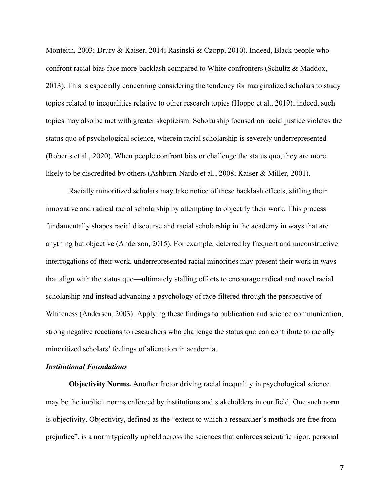Monteith, 2003; Drury & Kaiser, 2014; Rasinski & Czopp, 2010). Indeed, Black people who confront racial bias face more backlash compared to White confronters (Schultz & Maddox, 2013). This is especially concerning considering the tendency for marginalized scholars to study topics related to inequalities relative to other research topics (Hoppe et al., 2019); indeed, such topics may also be met with greater skepticism. Scholarship focused on racial justice violates the status quo of psychological science, wherein racial scholarship is severely underrepresented (Roberts et al., 2020). When people confront bias or challenge the status quo, they are more likely to be discredited by others (Ashburn-Nardo et al., 2008; Kaiser & Miller, 2001).

Racially minoritized scholars may take notice of these backlash effects, stifling their innovative and radical racial scholarship by attempting to objectify their work. This process fundamentally shapes racial discourse and racial scholarship in the academy in ways that are anything but objective (Anderson, 2015). For example, deterred by frequent and unconstructive interrogations of their work, underrepresented racial minorities may present their work in ways that align with the status quo—ultimately stalling efforts to encourage radical and novel racial scholarship and instead advancing a psychology of race filtered through the perspective of Whiteness (Andersen, 2003). Applying these findings to publication and science communication, strong negative reactions to researchers who challenge the status quo can contribute to racially minoritized scholars' feelings of alienation in academia.

# *Institutional Foundations*

**Objectivity Norms.** Another factor driving racial inequality in psychological science may be the implicit norms enforced by institutions and stakeholders in our field. One such norm is objectivity. Objectivity, defined as the "extent to which a researcher's methods are free from prejudice", is a norm typically upheld across the sciences that enforces scientific rigor, personal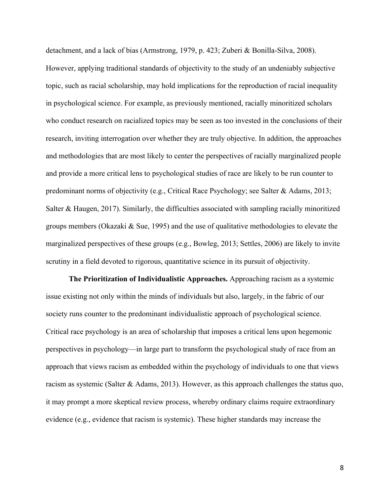detachment, and a lack of bias (Armstrong, 1979, p. 423; Zuberi & Bonilla-Silva, 2008). However, applying traditional standards of objectivity to the study of an undeniably subjective topic, such as racial scholarship, may hold implications for the reproduction of racial inequality in psychological science. For example, as previously mentioned, racially minoritized scholars who conduct research on racialized topics may be seen as too invested in the conclusions of their research, inviting interrogation over whether they are truly objective. In addition, the approaches and methodologies that are most likely to center the perspectives of racially marginalized people and provide a more critical lens to psychological studies of race are likely to be run counter to predominant norms of objectivity (e.g., Critical Race Psychology; see Salter & Adams, 2013; Salter & Haugen, 2017). Similarly, the difficulties associated with sampling racially minoritized groups members (Okazaki & Sue, 1995) and the use of qualitative methodologies to elevate the marginalized perspectives of these groups (e.g., Bowleg, 2013; Settles, 2006) are likely to invite scrutiny in a field devoted to rigorous, quantitative science in its pursuit of objectivity.

**The Prioritization of Individualistic Approaches.** Approaching racism as a systemic issue existing not only within the minds of individuals but also, largely, in the fabric of our society runs counter to the predominant individualistic approach of psychological science. Critical race psychology is an area of scholarship that imposes a critical lens upon hegemonic perspectives in psychology—in large part to transform the psychological study of race from an approach that views racism as embedded within the psychology of individuals to one that views racism as systemic (Salter & Adams, 2013). However, as this approach challenges the status quo, it may prompt a more skeptical review process, whereby ordinary claims require extraordinary evidence (e.g., evidence that racism is systemic). These higher standards may increase the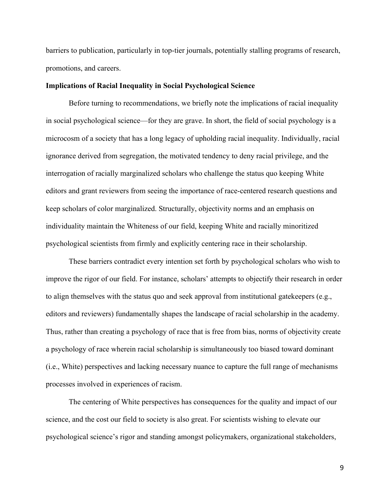barriers to publication, particularly in top-tier journals, potentially stalling programs of research, promotions, and careers.

#### **Implications of Racial Inequality in Social Psychological Science**

Before turning to recommendations, we briefly note the implications of racial inequality in social psychological science—for they are grave. In short, the field of social psychology is a microcosm of a society that has a long legacy of upholding racial inequality. Individually, racial ignorance derived from segregation, the motivated tendency to deny racial privilege, and the interrogation of racially marginalized scholars who challenge the status quo keeping White editors and grant reviewers from seeing the importance of race-centered research questions and keep scholars of color marginalized. Structurally, objectivity norms and an emphasis on individuality maintain the Whiteness of our field, keeping White and racially minoritized psychological scientists from firmly and explicitly centering race in their scholarship.

These barriers contradict every intention set forth by psychological scholars who wish to improve the rigor of our field. For instance, scholars' attempts to objectify their research in order to align themselves with the status quo and seek approval from institutional gatekeepers (e.g., editors and reviewers) fundamentally shapes the landscape of racial scholarship in the academy. Thus, rather than creating a psychology of race that is free from bias, norms of objectivity create a psychology of race wherein racial scholarship is simultaneously too biased toward dominant (i.e., White) perspectives and lacking necessary nuance to capture the full range of mechanisms processes involved in experiences of racism.

The centering of White perspectives has consequences for the quality and impact of our science, and the cost our field to society is also great. For scientists wishing to elevate our psychological science's rigor and standing amongst policymakers, organizational stakeholders,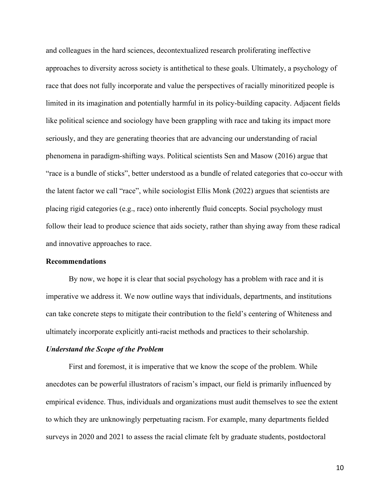and colleagues in the hard sciences, decontextualized research proliferating ineffective approaches to diversity across society is antithetical to these goals. Ultimately, a psychology of race that does not fully incorporate and value the perspectives of racially minoritized people is limited in its imagination and potentially harmful in its policy-building capacity. Adjacent fields like political science and sociology have been grappling with race and taking its impact more seriously, and they are generating theories that are advancing our understanding of racial phenomena in paradigm-shifting ways. Political scientists Sen and Masow (2016) argue that "race is a bundle of sticks", better understood as a bundle of related categories that co-occur with the latent factor we call "race", while sociologist Ellis Monk (2022) argues that scientists are placing rigid categories (e.g., race) onto inherently fluid concepts. Social psychology must follow their lead to produce science that aids society, rather than shying away from these radical and innovative approaches to race.

#### **Recommendations**

By now, we hope it is clear that social psychology has a problem with race and it is imperative we address it. We now outline ways that individuals, departments, and institutions can take concrete steps to mitigate their contribution to the field's centering of Whiteness and ultimately incorporate explicitly anti-racist methods and practices to their scholarship.

#### *Understand the Scope of the Problem*

First and foremost, it is imperative that we know the scope of the problem. While anecdotes can be powerful illustrators of racism's impact, our field is primarily influenced by empirical evidence. Thus, individuals and organizations must audit themselves to see the extent to which they are unknowingly perpetuating racism. For example, many departments fielded surveys in 2020 and 2021 to assess the racial climate felt by graduate students, postdoctoral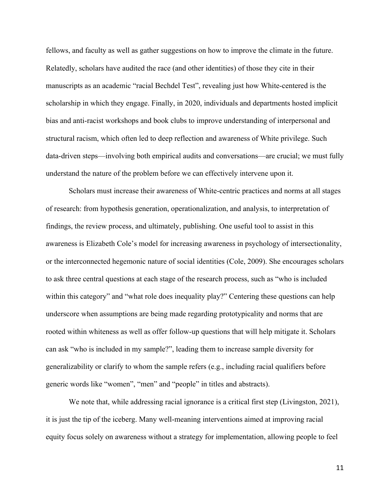fellows, and faculty as well as gather suggestions on how to improve the climate in the future. Relatedly, scholars have audited the race (and other identities) of those they cite in their manuscripts as an academic "racial Bechdel Test", revealing just how White-centered is the scholarship in which they engage. Finally, in 2020, individuals and departments hosted implicit bias and anti-racist workshops and book clubs to improve understanding of interpersonal and structural racism, which often led to deep reflection and awareness of White privilege. Such data-driven steps—involving both empirical audits and conversations—are crucial; we must fully understand the nature of the problem before we can effectively intervene upon it.

Scholars must increase their awareness of White-centric practices and norms at all stages of research: from hypothesis generation, operationalization, and analysis, to interpretation of findings, the review process, and ultimately, publishing. One useful tool to assist in this awareness is Elizabeth Cole's model for increasing awareness in psychology of intersectionality, or the interconnected hegemonic nature of social identities (Cole, 2009). She encourages scholars to ask three central questions at each stage of the research process, such as "who is included within this category" and "what role does inequality play?" Centering these questions can help underscore when assumptions are being made regarding prototypicality and norms that are rooted within whiteness as well as offer follow-up questions that will help mitigate it. Scholars can ask "who is included in my sample?", leading them to increase sample diversity for generalizability or clarify to whom the sample refers (e.g., including racial qualifiers before generic words like "women", "men" and "people" in titles and abstracts).

We note that, while addressing racial ignorance is a critical first step (Livingston, 2021), it is just the tip of the iceberg. Many well-meaning interventions aimed at improving racial equity focus solely on awareness without a strategy for implementation, allowing people to feel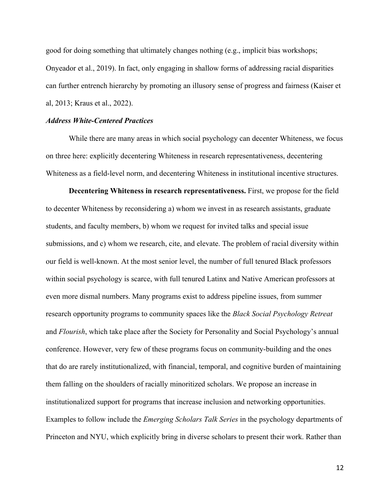good for doing something that ultimately changes nothing (e.g., implicit bias workshops; Onyeador et al., 2019). In fact, only engaging in shallow forms of addressing racial disparities can further entrench hierarchy by promoting an illusory sense of progress and fairness (Kaiser et al, 2013; Kraus et al., 2022).

#### *Address White-Centered Practices*

While there are many areas in which social psychology can decenter Whiteness, we focus on three here: explicitly decentering Whiteness in research representativeness, decentering Whiteness as a field-level norm, and decentering Whiteness in institutional incentive structures.

**Decentering Whiteness in research representativeness.** First, we propose for the field to decenter Whiteness by reconsidering a) whom we invest in as research assistants, graduate students, and faculty members, b) whom we request for invited talks and special issue submissions, and c) whom we research, cite, and elevate. The problem of racial diversity within our field is well-known. At the most senior level, the number of full tenured Black professors within social psychology is scarce, with full tenured Latinx and Native American professors at even more dismal numbers. Many programs exist to address pipeline issues, from summer research opportunity programs to community spaces like the *Black Social Psychology Retreat* and *Flourish*, which take place after the Society for Personality and Social Psychology's annual conference. However, very few of these programs focus on community-building and the ones that do are rarely institutionalized, with financial, temporal, and cognitive burden of maintaining them falling on the shoulders of racially minoritized scholars. We propose an increase in institutionalized support for programs that increase inclusion and networking opportunities. Examples to follow include the *Emerging Scholars Talk Series* in the psychology departments of Princeton and NYU, which explicitly bring in diverse scholars to present their work. Rather than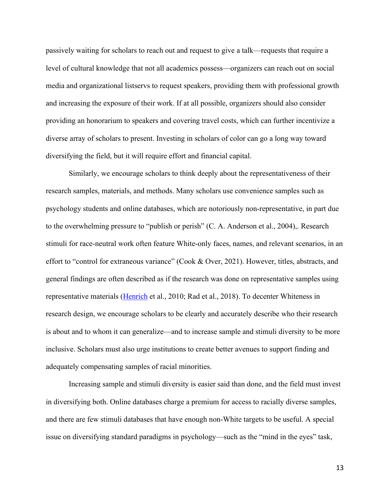passively waiting for scholars to reach out and request to give a talk—requests that require a level of cultural knowledge that not all academics possess—organizers can reach out on social media and organizational listservs to request speakers, providing them with professional growth and increasing the exposure of their work. If at all possible, organizers should also consider providing an honorarium to speakers and covering travel costs, which can further incentivize a diverse array of scholars to present. Investing in scholars of color can go a long way toward diversifying the field, but it will require effort and financial capital.

Similarly, we encourage scholars to think deeply about the representativeness of their research samples, materials, and methods. Many scholars use convenience samples such as psychology students and online databases, which are notoriously non-representative, in part due to the overwhelming pressure to "publish or perish" (C. A. Anderson et al., 2004),. Research stimuli for race-neutral work often feature White-only faces, names, and relevant scenarios, in an effort to "control for extraneous variance" (Cook & Over, 2021). However, titles, abstracts, and general findings are often described as if the research was done on representative samples using representative materials (Henrich et al., 2010; Rad et al., 2018). To decenter Whiteness in research design, we encourage scholars to be clearly and accurately describe who their research is about and to whom it can generalize—and to increase sample and stimuli diversity to be more inclusive. Scholars must also urge institutions to create better avenues to support finding and adequately compensating samples of racial minorities.

Increasing sample and stimuli diversity is easier said than done, and the field must invest in diversifying both. Online databases charge a premium for access to racially diverse samples, and there are few stimuli databases that have enough non-White targets to be useful. A special issue on diversifying standard paradigms in psychology—such as the "mind in the eyes" task,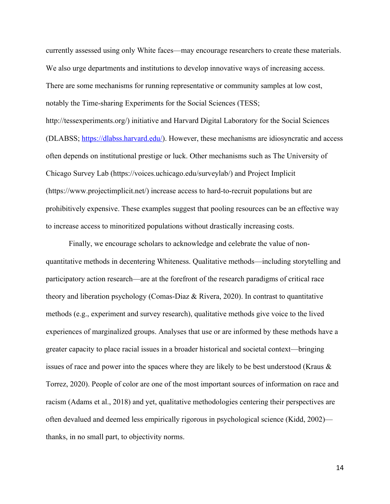currently assessed using only White faces—may encourage researchers to create these materials. We also urge departments and institutions to develop innovative ways of increasing access. There are some mechanisms for running representative or community samples at low cost, notably the Time-sharing Experiments for the Social Sciences (TESS; http://tessexperiments.org/) initiative and Harvard Digital Laboratory for the Social Sciences (DLABSS; https://dlabss.harvard.edu/). However, these mechanisms are idiosyncratic and access often depends on institutional prestige or luck. Other mechanisms such as The University of Chicago Survey Lab (https://voices.uchicago.edu/surveylab/) and Project Implicit (https://www.projectimplicit.net/) increase access to hard-to-recruit populations but are prohibitively expensive. These examples suggest that pooling resources can be an effective way to increase access to minoritized populations without drastically increasing costs.

Finally, we encourage scholars to acknowledge and celebrate the value of nonquantitative methods in decentering Whiteness. Qualitative methods—including storytelling and participatory action research—are at the forefront of the research paradigms of critical race theory and liberation psychology (Comas-Diaz & Rivera, 2020). In contrast to quantitative methods (e.g., experiment and survey research), qualitative methods give voice to the lived experiences of marginalized groups. Analyses that use or are informed by these methods have a greater capacity to place racial issues in a broader historical and societal context—bringing issues of race and power into the spaces where they are likely to be best understood (Kraus & Torrez, 2020). People of color are one of the most important sources of information on race and racism (Adams et al., 2018) and yet, qualitative methodologies centering their perspectives are often devalued and deemed less empirically rigorous in psychological science (Kidd, 2002) thanks, in no small part, to objectivity norms.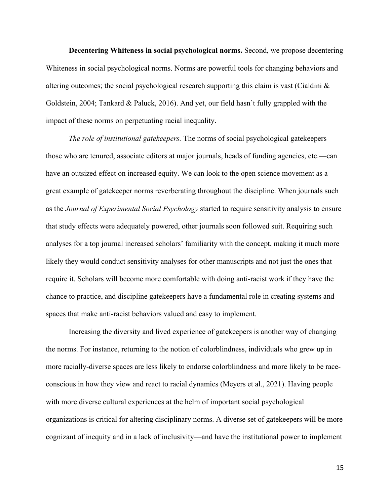**Decentering Whiteness in social psychological norms.** Second, we propose decentering Whiteness in social psychological norms. Norms are powerful tools for changing behaviors and altering outcomes; the social psychological research supporting this claim is vast (Cialdini  $\&$ Goldstein, 2004; Tankard & Paluck, 2016). And yet, our field hasn't fully grappled with the impact of these norms on perpetuating racial inequality.

*The role of institutional gatekeepers.* The norms of social psychological gatekeepers those who are tenured, associate editors at major journals, heads of funding agencies, etc.—can have an outsized effect on increased equity. We can look to the open science movement as a great example of gatekeeper norms reverberating throughout the discipline. When journals such as the *Journal of Experimental Social Psychology* started to require sensitivity analysis to ensure that study effects were adequately powered, other journals soon followed suit. Requiring such analyses for a top journal increased scholars' familiarity with the concept, making it much more likely they would conduct sensitivity analyses for other manuscripts and not just the ones that require it. Scholars will become more comfortable with doing anti-racist work if they have the chance to practice, and discipline gatekeepers have a fundamental role in creating systems and spaces that make anti-racist behaviors valued and easy to implement.

Increasing the diversity and lived experience of gatekeepers is another way of changing the norms. For instance, returning to the notion of colorblindness, individuals who grew up in more racially-diverse spaces are less likely to endorse colorblindness and more likely to be raceconscious in how they view and react to racial dynamics (Meyers et al., 2021). Having people with more diverse cultural experiences at the helm of important social psychological organizations is critical for altering disciplinary norms. A diverse set of gatekeepers will be more cognizant of inequity and in a lack of inclusivity—and have the institutional power to implement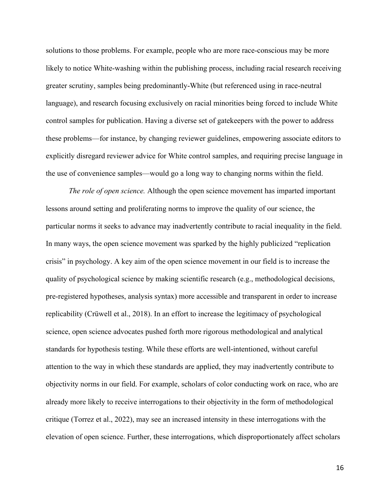solutions to those problems. For example, people who are more race-conscious may be more likely to notice White-washing within the publishing process, including racial research receiving greater scrutiny, samples being predominantly-White (but referenced using in race-neutral language), and research focusing exclusively on racial minorities being forced to include White control samples for publication. Having a diverse set of gatekeepers with the power to address these problems—for instance, by changing reviewer guidelines, empowering associate editors to explicitly disregard reviewer advice for White control samples, and requiring precise language in the use of convenience samples—would go a long way to changing norms within the field.

*The role of open science.* Although the open science movement has imparted important lessons around setting and proliferating norms to improve the quality of our science, the particular norms it seeks to advance may inadvertently contribute to racial inequality in the field. In many ways, the open science movement was sparked by the highly publicized "replication crisis" in psychology. A key aim of the open science movement in our field is to increase the quality of psychological science by making scientific research (e.g., methodological decisions, pre-registered hypotheses, analysis syntax) more accessible and transparent in order to increase replicability (Crüwell et al., 2018). In an effort to increase the legitimacy of psychological science, open science advocates pushed forth more rigorous methodological and analytical standards for hypothesis testing. While these efforts are well-intentioned, without careful attention to the way in which these standards are applied, they may inadvertently contribute to objectivity norms in our field. For example, scholars of color conducting work on race, who are already more likely to receive interrogations to their objectivity in the form of methodological critique (Torrez et al., 2022), may see an increased intensity in these interrogations with the elevation of open science. Further, these interrogations, which disproportionately affect scholars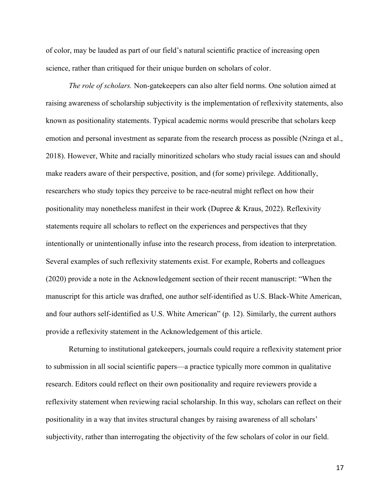of color, may be lauded as part of our field's natural scientific practice of increasing open science, rather than critiqued for their unique burden on scholars of color.

*The role of scholars.* Non-gatekeepers can also alter field norms. One solution aimed at raising awareness of scholarship subjectivity is the implementation of reflexivity statements, also known as positionality statements. Typical academic norms would prescribe that scholars keep emotion and personal investment as separate from the research process as possible (Nzinga et al., 2018). However, White and racially minoritized scholars who study racial issues can and should make readers aware of their perspective, position, and (for some) privilege. Additionally, researchers who study topics they perceive to be race-neutral might reflect on how their positionality may nonetheless manifest in their work (Dupree & Kraus, 2022). Reflexivity statements require all scholars to reflect on the experiences and perspectives that they intentionally or unintentionally infuse into the research process, from ideation to interpretation. Several examples of such reflexivity statements exist. For example, Roberts and colleagues (2020) provide a note in the Acknowledgement section of their recent manuscript: "When the manuscript for this article was drafted, one author self-identified as U.S. Black-White American, and four authors self-identified as U.S. White American" (p. 12). Similarly, the current authors provide a reflexivity statement in the Acknowledgement of this article.

Returning to institutional gatekeepers, journals could require a reflexivity statement prior to submission in all social scientific papers—a practice typically more common in qualitative research. Editors could reflect on their own positionality and require reviewers provide a reflexivity statement when reviewing racial scholarship. In this way, scholars can reflect on their positionality in a way that invites structural changes by raising awareness of all scholars' subjectivity, rather than interrogating the objectivity of the few scholars of color in our field.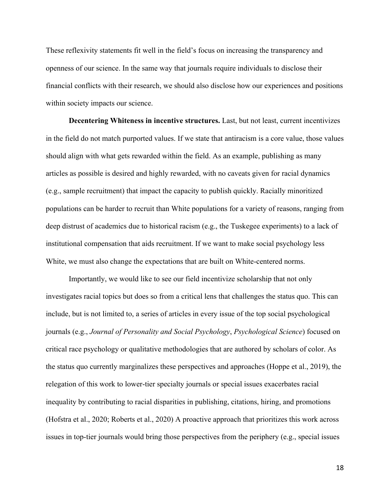These reflexivity statements fit well in the field's focus on increasing the transparency and openness of our science. In the same way that journals require individuals to disclose their financial conflicts with their research, we should also disclose how our experiences and positions within society impacts our science.

**Decentering Whiteness in incentive structures.** Last, but not least, current incentivizes in the field do not match purported values. If we state that antiracism is a core value, those values should align with what gets rewarded within the field. As an example, publishing as many articles as possible is desired and highly rewarded, with no caveats given for racial dynamics (e.g., sample recruitment) that impact the capacity to publish quickly. Racially minoritized populations can be harder to recruit than White populations for a variety of reasons, ranging from deep distrust of academics due to historical racism (e.g., the Tuskegee experiments) to a lack of institutional compensation that aids recruitment. If we want to make social psychology less White, we must also change the expectations that are built on White-centered norms.

Importantly, we would like to see our field incentivize scholarship that not only investigates racial topics but does so from a critical lens that challenges the status quo. This can include, but is not limited to, a series of articles in every issue of the top social psychological journals (e.g., *Journal of Personality and Social Psychology*, *Psychological Science*) focused on critical race psychology or qualitative methodologies that are authored by scholars of color. As the status quo currently marginalizes these perspectives and approaches (Hoppe et al., 2019), the relegation of this work to lower-tier specialty journals or special issues exacerbates racial inequality by contributing to racial disparities in publishing, citations, hiring, and promotions (Hofstra et al., 2020; Roberts et al., 2020) A proactive approach that prioritizes this work across issues in top-tier journals would bring those perspectives from the periphery (e.g., special issues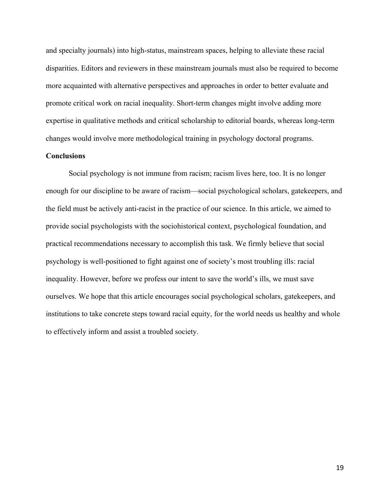and specialty journals) into high-status, mainstream spaces, helping to alleviate these racial disparities. Editors and reviewers in these mainstream journals must also be required to become more acquainted with alternative perspectives and approaches in order to better evaluate and promote critical work on racial inequality. Short-term changes might involve adding more expertise in qualitative methods and critical scholarship to editorial boards, whereas long-term changes would involve more methodological training in psychology doctoral programs.

# **Conclusions**

Social psychology is not immune from racism; racism lives here, too. It is no longer enough for our discipline to be aware of racism—social psychological scholars, gatekeepers, and the field must be actively anti-racist in the practice of our science. In this article, we aimed to provide social psychologists with the sociohistorical context, psychological foundation, and practical recommendations necessary to accomplish this task. We firmly believe that social psychology is well-positioned to fight against one of society's most troubling ills: racial inequality. However, before we profess our intent to save the world's ills, we must save ourselves. We hope that this article encourages social psychological scholars, gatekeepers, and institutions to take concrete steps toward racial equity, for the world needs us healthy and whole to effectively inform and assist a troubled society.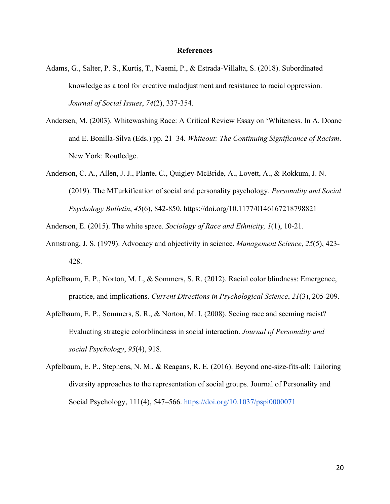#### **References**

- Adams, G., Salter, P. S., Kurtiş, T., Naemi, P., & Estrada‐Villalta, S. (2018). Subordinated knowledge as a tool for creative maladjustment and resistance to racial oppression. *Journal of Social Issues*, *74*(2), 337-354.
- Andersen, M. (2003). Whitewashing Race: A Critical Review Essay on 'Whiteness. In A. Doane and E. Bonilla-Silva (Eds.) pp. 21–34. *Whiteout: The Continuing Significance of Racism*. New York: Routledge.
- Anderson, C. A., Allen, J. J., Plante, C., Quigley-McBride, A., Lovett, A., & Rokkum, J. N. (2019). The MTurkification of social and personality psychology. *Personality and Social Psychology Bulletin*, *45*(6), 842-850. https://doi.org/10.1177/0146167218798821

Anderson, E. (2015). The white space. *Sociology of Race and Ethnicity, 1*(1), 10-21.

- Armstrong, J. S. (1979). Advocacy and objectivity in science. *Management Science*, *25*(5), 423- 428.
- Apfelbaum, E. P., Norton, M. I., & Sommers, S. R. (2012). Racial color blindness: Emergence, practice, and implications. *Current Directions in Psychological Science*, *21*(3), 205-209.
- Apfelbaum, E. P., Sommers, S. R., & Norton, M. I. (2008). Seeing race and seeming racist? Evaluating strategic colorblindness in social interaction. *Journal of Personality and social Psychology*, *95*(4), 918.
- Apfelbaum, E. P., Stephens, N. M., & Reagans, R. E. (2016). Beyond one-size-fits-all: Tailoring diversity approaches to the representation of social groups. Journal of Personality and Social Psychology, 111(4), 547–566. https://doi.org/10.1037/pspi0000071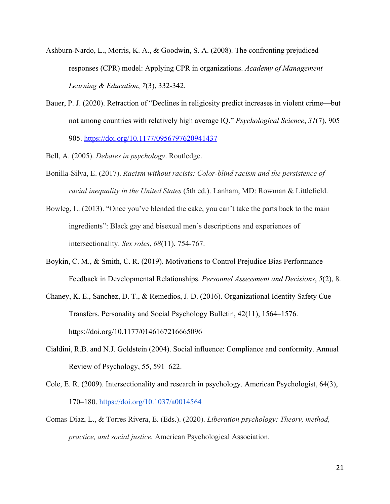- Ashburn-Nardo, L., Morris, K. A., & Goodwin, S. A. (2008). The confronting prejudiced responses (CPR) model: Applying CPR in organizations. *Academy of Management Learning & Education*, *7*(3), 332-342.
- Bauer, P. J. (2020). Retraction of "Declines in religiosity predict increases in violent crime—but not among countries with relatively high average IQ." *Psychological Science*, *31*(7), 905– 905. https://doi.org/10.1177/0956797620941437

Bell, A. (2005). *Debates in psychology*. Routledge.

- Bonilla-Silva, E. (2017). *Racism without racists: Color-blind racism and the persistence of racial inequality in the United States* (5th ed.). Lanham, MD: Rowman & Littlefield.
- Bowleg, L. (2013). "Once you've blended the cake, you can't take the parts back to the main ingredients": Black gay and bisexual men's descriptions and experiences of intersectionality. *Sex roles*, *68*(11), 754-767.
- Boykin, C. M., & Smith, C. R. (2019). Motivations to Control Prejudice Bias Performance Feedback in Developmental Relationships. *Personnel Assessment and Decisions*, *5*(2), 8.
- Chaney, K. E., Sanchez, D. T., & Remedios, J. D. (2016). Organizational Identity Safety Cue Transfers. Personality and Social Psychology Bulletin, 42(11), 1564–1576. https://doi.org/10.1177/0146167216665096
- Cialdini, R.B. and N.J. Goldstein (2004). Social influence: Compliance and conformity. Annual Review of Psychology, 55, 591–622.
- Cole, E. R. (2009). Intersectionality and research in psychology. American Psychologist, 64(3), 170–180. https://doi.org/10.1037/a0014564
- Comas-Díaz, L., & Torres Rivera, E. (Eds.). (2020). *Liberation psychology: Theory, method, practice, and social justice.* American Psychological Association.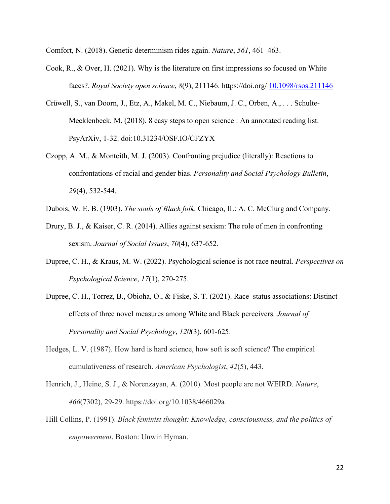Comfort, N. (2018). Genetic determinism rides again. *Nature*, *561*, 461–463.

- Cook, R., & Over, H. (2021). Why is the literature on first impressions so focused on White faces?. *Royal Society open science*, *8*(9), 211146. https://doi.org/ 10.1098/rsos.211146
- Crüwell, S., van Doorn, J., Etz, A., Makel, M. C., Niebaum, J. C., Orben, A., . . . Schulte-Mecklenbeck, M. (2018). 8 easy steps to open science : An annotated reading list. PsyArXiv, 1-32. doi:10.31234/OSF.IO/CFZYX
- Czopp, A. M., & Monteith, M. J. (2003). Confronting prejudice (literally): Reactions to confrontations of racial and gender bias. *Personality and Social Psychology Bulletin*, *29*(4), 532-544.
- Dubois, W. E. B. (1903). *The souls of Black folk*. Chicago, IL: A. C. McClurg and Company.
- Drury, B. J., & Kaiser, C. R. (2014). Allies against sexism: The role of men in confronting sexism. *Journal of Social Issues*, *70*(4), 637-652.
- Dupree, C. H., & Kraus, M. W. (2022). Psychological science is not race neutral. *Perspectives on Psychological Science*, *17*(1), 270-275.
- Dupree, C. H., Torrez, B., Obioha, O., & Fiske, S. T. (2021). Race–status associations: Distinct effects of three novel measures among White and Black perceivers. *Journal of Personality and Social Psychology*, *120*(3), 601-625.
- Hedges, L. V. (1987). How hard is hard science, how soft is soft science? The empirical cumulativeness of research. *American Psychologist*, *42*(5), 443.
- Henrich, J., Heine, S. J., & Norenzayan, A. (2010). Most people are not WEIRD. *Nature*, *466*(7302), 29-29. https://doi.org/10.1038/466029a
- Hill Collins, P. (1991). *Black feminist thought: Knowledge, consciousness, and the politics of empowerment*. Boston: Unwin Hyman.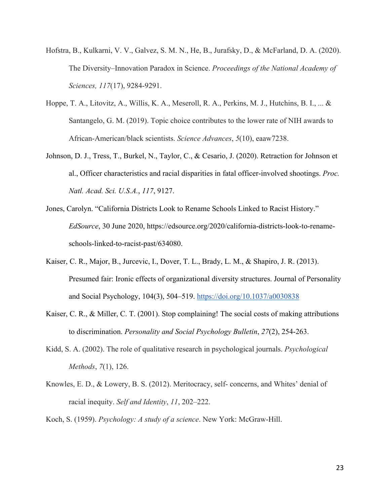- Hofstra, B., Kulkarni, V. V., Galvez, S. M. N., He, B., Jurafsky, D., & McFarland, D. A. (2020). The Diversity–Innovation Paradox in Science. *Proceedings of the National Academy of Sciences, 117*(17), 9284-9291.
- Hoppe, T. A., Litovitz, A., Willis, K. A., Meseroll, R. A., Perkins, M. J., Hutchins, B. I., ... & Santangelo, G. M. (2019). Topic choice contributes to the lower rate of NIH awards to African-American/black scientists. *Science Advances*, *5*(10), eaaw7238.
- Johnson, D. J., Tress, T., Burkel, N., Taylor, C., & Cesario, J. (2020). Retraction for Johnson et al., Officer characteristics and racial disparities in fatal officer-involved shootings. *Proc. Natl. Acad. Sci. U.S.A.*, *117*, 9127.
- Jones, Carolyn. "California Districts Look to Rename Schools Linked to Racist History." *EdSource*, 30 June 2020, https://edsource.org/2020/california-districts-look-to-renameschools-linked-to-racist-past/634080.
- Kaiser, C. R., Major, B., Jurcevic, I., Dover, T. L., Brady, L. M., & Shapiro, J. R. (2013). Presumed fair: Ironic effects of organizational diversity structures. Journal of Personality and Social Psychology, 104(3), 504–519. https://doi.org/10.1037/a0030838
- Kaiser, C. R., & Miller, C. T. (2001). Stop complaining! The social costs of making attributions to discrimination. *Personality and Social Psychology Bulletin*, *27*(2), 254-263.
- Kidd, S. A. (2002). The role of qualitative research in psychological journals. *Psychological Methods*, *7*(1), 126.
- Knowles, E. D., & Lowery, B. S. (2012). Meritocracy, self- concerns, and Whites' denial of racial inequity. *Self and Identity*, *11*, 202–222.
- Koch, S. (1959). *Psychology: A study of a science*. New York: McGraw-Hill.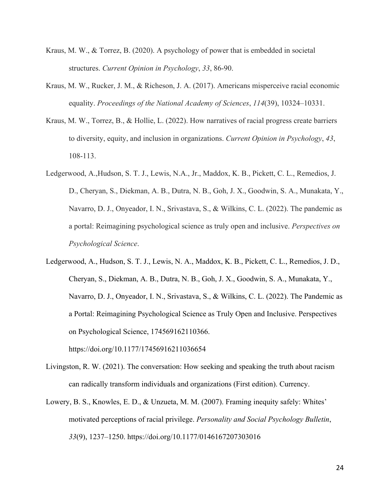- Kraus, M. W., & Torrez, B. (2020). A psychology of power that is embedded in societal structures. *Current Opinion in Psychology*, *33*, 86-90.
- Kraus, M. W., Rucker, J. M., & Richeson, J. A. (2017). Americans misperceive racial economic equality. *Proceedings of the National Academy of Sciences*, *114*(39), 10324–10331.
- Kraus, M. W., Torrez, B., & Hollie, L. (2022). How narratives of racial progress create barriers to diversity, equity, and inclusion in organizations. *Current Opinion in Psychology*, *43*, 108-113.
- Ledgerwood, A.,Hudson, S. T. J., Lewis, N.A., Jr., Maddox, K. B., Pickett, C. L., Remedios, J. D., Cheryan, S., Diekman, A. B., Dutra, N. B., Goh, J. X., Goodwin, S. A., Munakata, Y., Navarro, D. J., Onyeador, I. N., Srivastava, S., & Wilkins, C. L. (2022). The pandemic as a portal: Reimagining psychological science as truly open and inclusive. *Perspectives on Psychological Science*.
- Ledgerwood, A., Hudson, S. T. J., Lewis, N. A., Maddox, K. B., Pickett, C. L., Remedios, J. D., Cheryan, S., Diekman, A. B., Dutra, N. B., Goh, J. X., Goodwin, S. A., Munakata, Y., Navarro, D. J., Onyeador, I. N., Srivastava, S., & Wilkins, C. L. (2022). The Pandemic as a Portal: Reimagining Psychological Science as Truly Open and Inclusive. Perspectives on Psychological Science, 174569162110366.
- Livingston, R. W. (2021). The conversation: How seeking and speaking the truth about racism

https://doi.org/10.1177/17456916211036654

- can radically transform individuals and organizations (First edition). Currency.
- Lowery, B. S., Knowles, E. D., & Unzueta, M. M. (2007). Framing inequity safely: Whites' motivated perceptions of racial privilege. *Personality and Social Psychology Bulletin*, *33*(9), 1237–1250. https://doi.org/10.1177/0146167207303016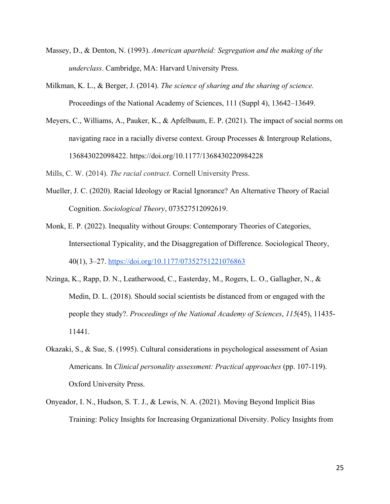- Massey, D., & Denton, N. (1993). *American apartheid: Segregation and the making of the underclass*. Cambridge, MA: Harvard University Press.
- Milkman, K. L., & Berger, J. (2014). *The science of sharing and the sharing of science.* Proceedings of the National Academy of Sciences, 111 (Suppl 4), 13642–13649.
- Meyers, C., Williams, A., Pauker, K., & Apfelbaum, E. P. (2021). The impact of social norms on navigating race in a racially diverse context. Group Processes & Intergroup Relations, 136843022098422. https://doi.org/10.1177/1368430220984228

Mills, C. W. (2014). *The racial contract*. Cornell University Press.

- Mueller, J. C. (2020). Racial Ideology or Racial Ignorance? An Alternative Theory of Racial Cognition. *Sociological Theory*, 073527512092619.
- Monk, E. P. (2022). Inequality without Groups: Contemporary Theories of Categories, Intersectional Typicality, and the Disaggregation of Difference. Sociological Theory, 40(1), 3–27. https://doi.org/10.1177/07352751221076863
- Nzinga, K., Rapp, D. N., Leatherwood, C., Easterday, M., Rogers, L. O., Gallagher, N., & Medin, D. L. (2018). Should social scientists be distanced from or engaged with the people they study?. *Proceedings of the National Academy of Sciences*, *115*(45), 11435- 11441.
- Okazaki, S., & Sue, S. (1995). Cultural considerations in psychological assessment of Asian Americans. In *Clinical personality assessment: Practical approaches* (pp. 107-119). Oxford University Press.
- Onyeador, I. N., Hudson, S. T. J., & Lewis, N. A. (2021). Moving Beyond Implicit Bias Training: Policy Insights for Increasing Organizational Diversity. Policy Insights from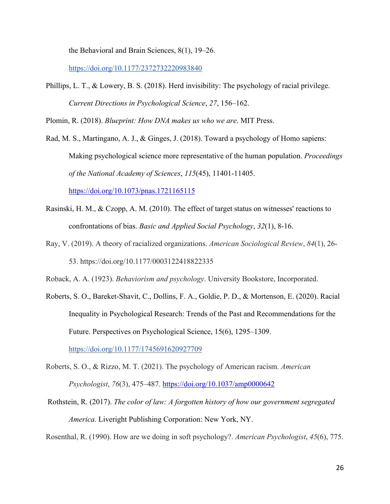the Behavioral and Brain Sciences, 8(1), 19–26.

https://doi.org/10.1177/2372732220983840

Phillips, L. T., & Lowery, B. S. (2018). Herd invisibility: The psychology of racial privilege. *Current Directions in Psychological Science*, *27*, 156–162.

Plomin, R. (2018). *Blueprint: How DNA makes us who we are*. MIT Press.

Rad, M. S., Martingano, A. J., & Ginges, J. (2018). Toward a psychology of Homo sapiens: Making psychological science more representative of the human population. *Proceedings of the National Academy of Sciences*, *115*(45), 11401-11405. https://doi.org/10.1073/pnas.1721165115

- Rasinski, H. M., & Czopp, A. M. (2010). The effect of target status on witnesses' reactions to confrontations of bias. *Basic and Applied Social Psychology*, *32*(1), 8-16.
- Ray, V. (2019). A theory of racialized organizations. *American Sociological Review*, *84*(1), 26- 53. https://doi.org/10.1177/0003122418822335

Roback, A. A. (1923). *Behaviorism and psychology*. University Bookstore, Incorporated.

Roberts, S. O., Bareket-Shavit, C., Dollins, F. A., Goldie, P. D., & Mortenson, E. (2020). Racial Inequality in Psychological Research: Trends of the Past and Recommendations for the Future. Perspectives on Psychological Science, 15(6), 1295–1309.

https://doi.org/10.1177/1745691620927709

- Roberts, S. O., & Rizzo, M. T. (2021). The psychology of American racism. *American Psychologist*, *76*(3), 475–487. https://doi.org/10.1037/amp0000642
- Rothstein, R. (2017). *The color of law: A forgotten history of how our government segregated America.* Liveright Publishing Corporation: New York, NY.

Rosenthal, R. (1990). How are we doing in soft psychology?. *American Psychologist*, *45*(6), 775.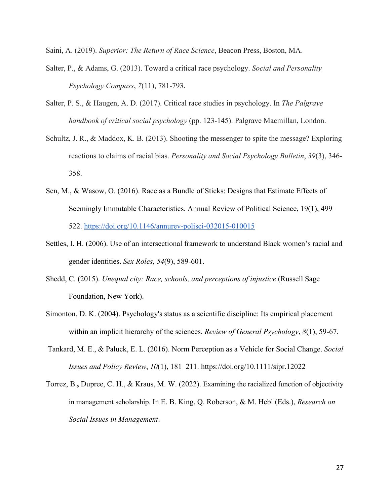Saini, A. (2019). *Superior: The Return of Race Science*, Beacon Press, Boston, MA.

- Salter, P., & Adams, G. (2013). Toward a critical race psychology. *Social and Personality Psychology Compass*, *7*(11), 781-793.
- Salter, P. S., & Haugen, A. D. (2017). Critical race studies in psychology. In *The Palgrave handbook of critical social psychology* (pp. 123-145). Palgrave Macmillan, London.
- Schultz, J. R., & Maddox, K. B. (2013). Shooting the messenger to spite the message? Exploring reactions to claims of racial bias. *Personality and Social Psychology Bulletin*, *39*(3), 346- 358.
- Sen, M., & Wasow, O. (2016). Race as a Bundle of Sticks: Designs that Estimate Effects of Seemingly Immutable Characteristics. Annual Review of Political Science, 19(1), 499– 522. https://doi.org/10.1146/annurev-polisci-032015-010015
- Settles, I. H. (2006). Use of an intersectional framework to understand Black women's racial and gender identities. *Sex Roles*, *54*(9), 589-601.
- Shedd, C. (2015). *Unequal city: Race, schools, and perceptions of injustice* (Russell Sage Foundation, New York).
- Simonton, D. K. (2004). Psychology's status as a scientific discipline: Its empirical placement within an implicit hierarchy of the sciences. *Review of General Psychology*, *8*(1), 59-67.
- Tankard, M. E., & Paluck, E. L. (2016). Norm Perception as a Vehicle for Social Change. *Social Issues and Policy Review*, *10*(1), 181–211. https://doi.org/10.1111/sipr.12022
- Torrez, B.**,** Dupree, C. H., & Kraus, M. W. (2022). Examining the racialized function of objectivity in management scholarship. In E. B. King, Q. Roberson, & M. Hebl (Eds.), *Research on Social Issues in Management*.